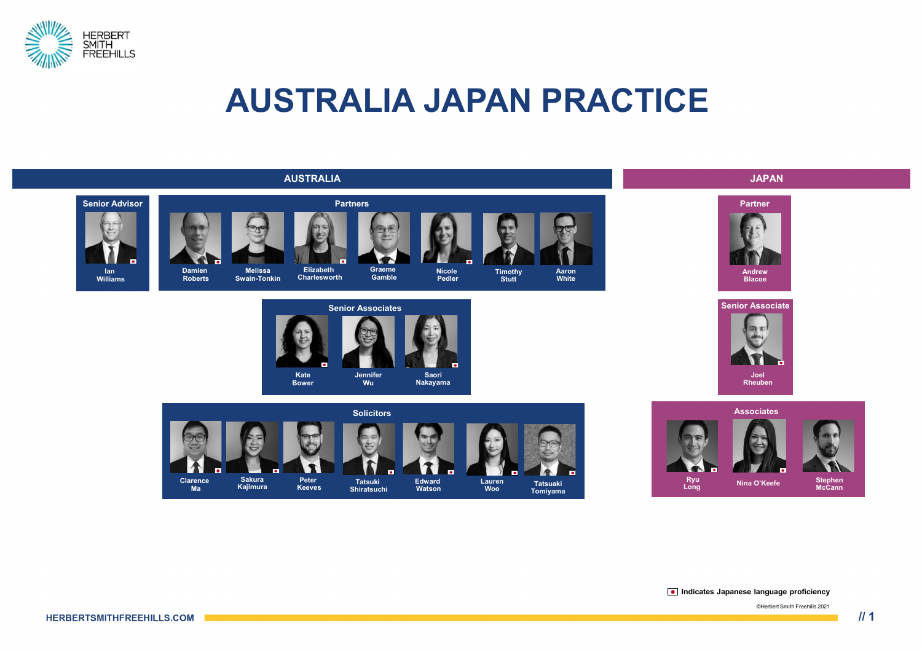

#### **AUSTRALIA JAPAN PRACTICE**



**Indicates Japanese language proficiency**

©Herbert Smith Freehills 2021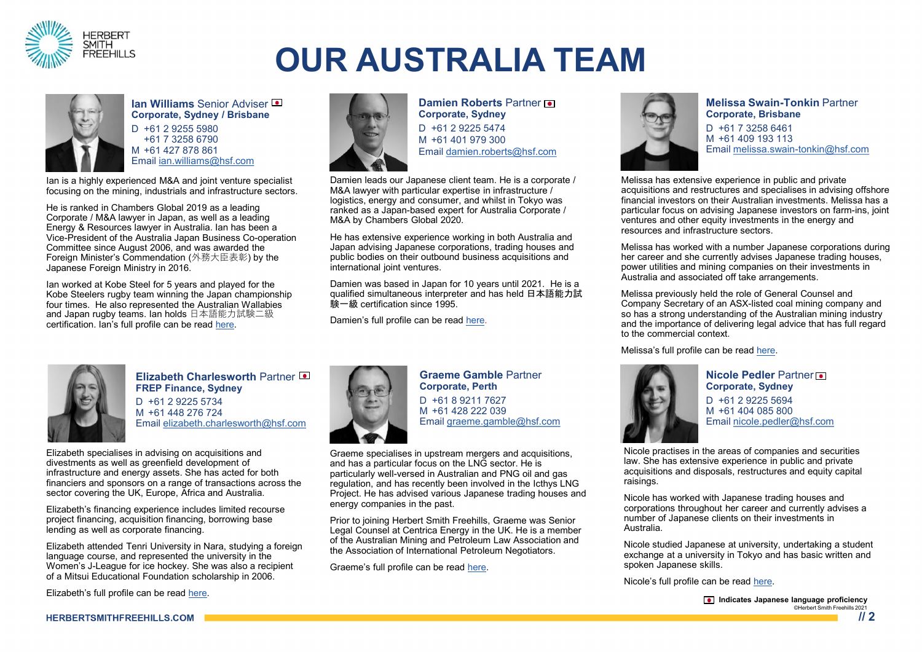

# **OUR AUSTRALIA TEAM**



**Ian Williams Senior Adviser Corporate, Sydney / Brisbane** D +61 2 9255 5980 +61 7 3258 6790 M +61 427 878 861 Email [ian.williams@hsf.com](mailto:ian.williams@hsf.com)

Ian is a highly experienced M&A and joint venture specialist focusing on the mining, industrials and infrastructure sectors.

He is ranked in Chambers Global 2019 as a leading Corporate / M&A lawyer in Japan, as well as a leading Energy & Resources lawyer in Australia. Ian has been a Vice-President of the Australia Japan Business Co-operation Committee since August 2006, and was awarded the Foreign Minister's Commendation (外務大臣表彰) by the Japanese Foreign Ministry in 2016.

Ian worked at Kobe Steel for 5 years and played for the Kobe Steelers rugby team winning the Japan championship four times. He also represented the Australian Wallabies and Japan rugby teams. Ian holds 日本語能力試験二級 certification. Ian's full profile can be read [here.](https://www.herbertsmithfreehills.com/our-people/ian-williams)



**Damien Roberts Partner of Corporate, Sydney** D +61 2 9225 5474 M +61 401 979 300 Email [damien.roberts@hsf.com](mailto:gregg.rowan@hsf.com)

Damien leads our Japanese client team. He is a corporate / M&A lawyer with particular expertise in infrastructure / logistics, energy and consumer, and whilst in Tokyo was ranked as a Japan-based expert for Australia Corporate / M&A by Chambers Global 2020.

He has extensive experience working in both Australia and Japan advising Japanese corporations, trading houses and public bodies on their outbound business acquisitions and international joint ventures.

Damien was based in Japan for 10 years until 2021. He is a qualified simultaneous interpreter and has held 日本語能力試 験一級 certification since 1995.

Damien's full profile can be read [here.](https://www.herbertsmithfreehills.com/our-people/damien-roberts)



#### **Elizabeth Charlesworth Partner FREP Finance, Sydney** D +61 2 9225 5734 M +61 448 276 724 Email [elizabeth.charlesworth@hsf.com](mailto:elizabeth.charlesworth@hsf.com)

Elizabeth specialises in advising on acquisitions and divestments as well as greenfield development of infrastructure and energy assets. She has acted for both financiers and sponsors on a range of transactions across the sector covering the UK, Europe, Africa and Australia.

Elizabeth's financing experience includes limited recourse project financing, acquisition financing, borrowing base lending as well as corporate financing.

Elizabeth attended Tenri University in Nara, studying a foreign language course, and represented the university in the Women's J-League for ice hockey. She was also a recipient of a Mitsui Educational Foundation scholarship in 2006.

Elizabeth's full profile can be read [here](https://www.herbertsmithfreehills.com/our-people/elizabeth-charlesworth).



**Graeme Gamble** Partner **Corporate, Perth** D +61 8 9211 7627 M +61 428 222 039 Email [graeme.gamble@hsf.com](mailto:graeme.gamble@hsf.com)

Graeme specialises in upstream mergers and acquisitions, and has a particular focus on the LNG sector. He is particularly well-versed in Australian and PNG oil and gas regulation, and has recently been involved in the Icthys LNG Project. He has advised various Japanese trading houses and energy companies in the past.

Prior to joining Herbert Smith Freehills, Graeme was Senior Legal Counsel at Centrica Energy in the UK. He is a member of the Australian Mining and Petroleum Law Association and the Association of International Petroleum Negotiators.

Graeme's full profile can be read [here](https://www.herbertsmithfreehills.com/our-people/graeme-gamble).



**Melissa Swain-Tonkin** Partner **Corporate, Brisbane**

D +61 7 3258 6461 M +61 409 193 113 Email [melissa.swain-tonkin@hsf.com](mailto:melissa.swain-tonkin@hsf.com)

Melissa has extensive experience in public and private acquisitions and restructures and specialises in advising offshore financial investors on their Australian investments. Melissa has a particular focus on advising Japanese investors on farm-ins, joint ventures and other equity investments in the energy and resources and infrastructure sectors.

Melissa has worked with a number Japanese corporations during her career and she currently advises Japanese trading houses. power utilities and mining companies on their investments in Australia and associated off take arrangements.

Melissa previously held the role of General Counsel and Company Secretary of an ASX-listed coal mining company and so has a strong understanding of the Australian mining industry and the importance of delivering legal advice that has full regard to the commercial context.

Melissa's full profile can be read [here](https://www.herbertsmithfreehills.com/our-people/melissa-swain-tonkin).



**Nicole Pedler** Partner **Corporate, Sydney** D +61 2 9225 5694 M +61 404 085 800 Email [nicole.pedler@hsf.com](mailto:nicole.pedler@hsf.com)

Nicole practises in the areas of companies and securities law. She has extensive experience in public and private acquisitions and disposals, restructures and equity capital raisings.

Nicole has worked with Japanese trading houses and corporations throughout her career and currently advises a number of Japanese clients on their investments in Australia.

Nicole studied Japanese at university, undertaking a student exchange at a university in Tokyo and has basic written and spoken Japanese skills.

Nicole's full profile can be read [here](https://www.herbertsmithfreehills.com/our-people/nicole-pedler).

**Indicates Japanese language proficiency** ©Herbert Smith Freehills 2021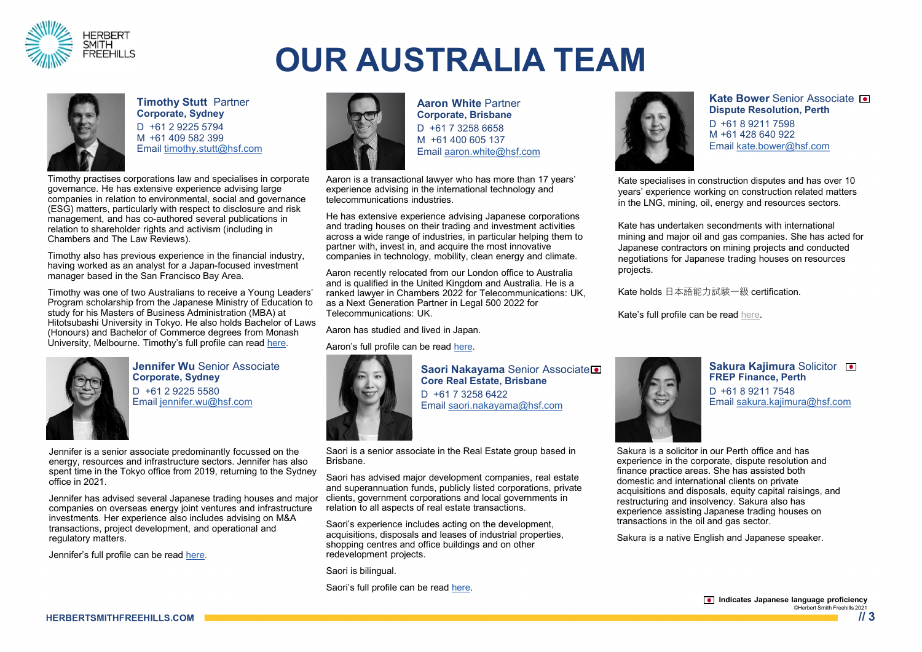

# **OUR AUSTRALIA TEAM**



**Timothy Stutt** Partner **Corporate, Sydney** D +61 2 9225 5794

M +61 409 582 399 Email [timothy.stutt@hsf.com](mailto:timothy.stutt@hsf.com)

Timothy practises corporations law and specialises in corporate governance. He has extensive experience advising large companies in relation to environmental, social and governance (ESG) matters, particularly with respect to disclosure and risk management, and has co-authored several publications in relation to shareholder rights and activism (including in Chambers and The Law Reviews).

Timothy also has previous experience in the financial industry, having worked as an analyst for a Japan-focused investment manager based in the San Francisco Bay Area.

Timothy was one of two Australians to receive a Young Leaders' Program scholarship from the Japanese Ministry of Education to study for his Masters of Business Administration (MBA) at Hitotsubashi University in Tokyo. He also holds Bachelor of Laws (Honours) and Bachelor of Commerce degrees from Monash University, Melbourne. Timothy's full profile can read [here](https://www.herbertsmithfreehills.com/our-people/timothy-stutt).



**Jennifer Wu** Senior Associate **Corporate, Sydney** D +61 2 9225 5580 Email [jennifer.wu@hsf.com](mailto:kjate.bower@hsf.com)

Jennifer is a senior associate predominantly focussed on the energy, resources and infrastructure sectors. Jennifer has also spent time in the Tokyo office from 2019, returning to the Sydney office in 2021.

Jennifer has advised several Japanese trading houses and major  $\,$  clients, government corporations and local governments in companies on overseas energy joint ventures and infrastructure investments. Her experience also includes advising on M&A transactions, project development, and operational and regulatory matters.

Jennifer's full profile can be read [here.](https://www.herbertsmithfreehills.com/our-people/jennifer-wu)



**Aaron White** Partner **Corporate, Brisbane** D +61 7 3258 6658 M +61 400 605 137 Email [aaron.white@hsf.com](mailto:aaron.white@hsf.com)

Aaron is a transactional lawyer who has more than 17 years' experience advising in the international technology and telecommunications industries.

He has extensive experience advising Japanese corporations and trading houses on their trading and investment activities across a wide range of industries, in particular helping them to partner with, invest in, and acquire the most innovative companies in technology, mobility, clean energy and climate.

Aaron recently relocated from our London office to Australia and is qualified in the United Kingdom and Australia. He is a ranked lawyer in Chambers 2022 for Telecommunications: UK, as a Next Generation Partner in Legal 500 2022 for Telecommunications: UK.

Aaron has studied and lived in Japan.

Aaron's full profile can be read [here.](https://www.herbertsmithfreehills.com/our-people/aaron-white)



**Saori Nakayama** Senior Associate **Core Real Estate, Brisbane** D +61 7 3258 6422 Email [saori.nakayama@hsf.com](mailto:saori.Nakayama@hsf.com)

Saori is a senior associate in the Real Estate group based in Brisbane.

Saori has advised major development companies, real estate and superannuation funds, publicly listed corporations, private relation to all aspects of real estate transactions.

Saori's experience includes acting on the development, acquisitions, disposals and leases of industrial properties, shopping centres and office buildings and on other redevelopment projects.

Saori is bilingual.

Saori's full profile can be read [here.](https://www.herbertsmithfreehills.com/our-people/saori-nakayama)



**Kate Bower Senior Associate <b>o Dispute Resolution, Perth** D +61 8 9211 7598 M +61 428 640 922 Email [kate.bower@hsf.com](mailto:kate.bower@hsf.com)

Kate specialises in construction disputes and has over 10 years' experience working on construction related matters in the LNG, mining, oil, energy and resources sectors.

Kate has undertaken secondments with international mining and major oil and gas companies. She has acted for Japanese contractors on mining projects and conducted negotiations for Japanese trading houses on resources projects.

Kate holds 日本語能力試験一級 certification.

Kate's full profile can be read [here.](https://www.herbertsmithfreehills.com/our-people/kate-bower)



**Sakura Kajimura Solicitor I FREP Finance, Perth** D +61 8 9211 7548 Email [sakura.kajimura@hsf.com](mailto:sakura.kajimura@hsf.com)

Sakura is a solicitor in our Perth office and has experience in the corporate, dispute resolution and finance practice areas. She has assisted both domestic and international clients on private acquisitions and disposals, equity capital raisings, and restructuring and insolvency. Sakura also has experience assisting Japanese trading houses on transactions in the oil and gas sector.

Sakura is a native English and Japanese speaker.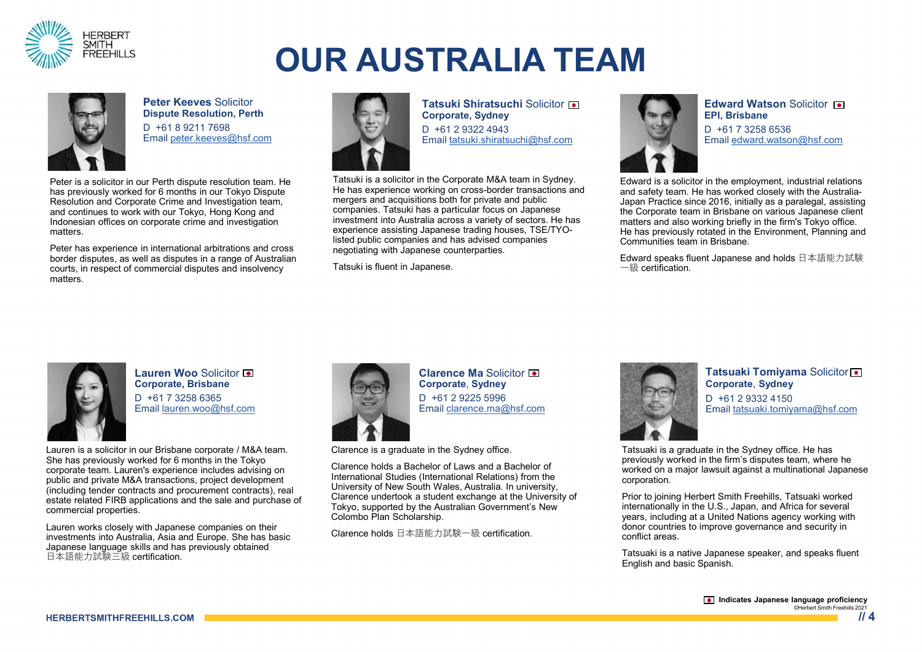

# **OUR AUSTRALIA TEAM**



**Peter Keeves** Solicitor **Dispute Resolution, Perth** D +61 8 9211 7698 Email [peter.keeves@hsf.com](mailto:peter.keeves@hsf.com)

Peter is a solicitor in our Perth dispute resolution team. He has previously worked for 6 months in our Tokyo Dispute Resolution and Corporate Crime and Investigation team, and continues to work with our Tokyo, Hong Kong and Indonesian offices on corporate crime and investigation matters.

Peter has experience in international arbitrations and cross border disputes, as well as disputes in a range of Australian courts, in respect of commercial disputes and insolvency matters.



**Tatsuki Shiratsuchi Solicitor on Corporate, Sydney** D +61 2 9322 4943 Email [tatsuki.shiratsuchi@hsf.com](mailto:tatsuki.shiratsuchi@hsf.com)

Tatsuki is a solicitor in the Corporate M&A team in Sydney. He has experience working on cross-border transactions and mergers and acquisitions both for private and public companies. Tatsuki has a particular focus on Japanese investment into Australia across a variety of sectors. He has experience assisting Japanese trading houses, TSE/TYOlisted public companies and has advised companies negotiating with Japanese counterparties.

Tatsuki is fluent in Japanese.



**Edward Watson** Solicitor **EPI, Brisbane** D +61 7 3258 6536 Email [edward.watson@hsf.com](mailto:edward.watson@hsf.com)

Edward is a solicitor in the employment, industrial relations and safety team. He has worked closely with the Australia-Japan Practice since 2016, initially as a paralegal, assisting the Corporate team in Brisbane on various Japanese client matters and also working briefly in the firm's Tokyo office. He has previously rotated in the Environment, Planning and Communities team in Brisbane.

Edward speaks fluent Japanese and holds 日本語能力試験 一級 certification.



**Lauren Woo** Solicitor **Corporate, Brisbane** D +61 7 3258 6365 Email [lauren.woo@hsf.com](mailto:lauren.woo@hsf.com)

Lauren is a solicitor in our Brisbane corporate / M&A team. She has previously worked for 6 months in the Tokyo corporate team. Lauren's experience includes advising on public and private M&A transactions, project development (including tender contracts and procurement contracts), real estate related FIRB applications and the sale and purchase of commercial properties.

Lauren works closely with Japanese companies on their investments into Australia, Asia and Europe. She has basic Japanese language skills and has previously obtained 日本語能力試験三級 certification.



**Clarence Ma** Solicitor **Corporate**, **Sydney**  D +61 2 9225 5996 Email [clarence.ma@hsf.com](mailto:clarence.ma@hsf.com)

Clarence is a graduate in the Sydney office.

Clarence holds a Bachelor of Laws and a Bachelor of International Studies (International Relations) from the University of New South Wales, Australia. In university, Clarence undertook a student exchange at the University of Tokyo, supported by the Australian Government's New Colombo Plan Scholarship.

Clarence holds 日本語能力試験一級 certification.



**Tatsuaki Tomiyama** Solicitor **Corporate**, **Sydney** D +61 2 9332 4150 Email [tatsuaki.tomiyama@hsf.com](mailto:tatsuaki.tomiyama@hsf.com)

Tatsuaki is a graduate in the Sydney office. He has previously worked in the firm's disputes team, where he worked on a major lawsuit against a multinational Japanese corporation.

Prior to joining Herbert Smith Freehills, Tatsuaki worked internationally in the U.S., Japan, and Africa for several years, including at a United Nations agency working with donor countries to improve governance and security in conflict areas.

Tatsuaki is a native Japanese speaker, and speaks fluent English and basic Spanish.